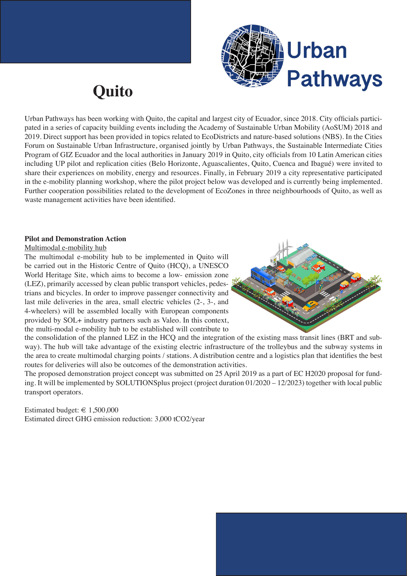

## **Quito**

Urban Pathways has been working with Quito, the capital and largest city of Ecuador, since 2018. City officials participated in a series of capacity building events including the Academy of Sustainable Urban Mobility (AoSUM) 2018 and 2019. Direct support has been provided in topics related to EcoDistricts and nature-based solutions (NBS). In the Cities Forum on Sustainable Urban Infrastructure, organised jointly by Urban Pathways, the Sustainable Intermediate Cities Program of GIZ Ecuador and the local authorities in January 2019 in Quito, city officials from 10 Latin American cities including UP pilot and replication cities (Belo Horizonte, Aguascalientes, Quito, Cuenca and Ibagué) were invited to share their experiences on mobility, energy and resources. Finally, in February 2019 a city representative participated in the e-mobility planning workshop, where the pilot project below was developed and is currently being implemented. Further cooperation possibilities related to the development of EcoZones in three neighbourhoods of Quito, as well as waste management activities have been identified.

## **Pilot and Demonstration Action**

Multimodal e-mobility hub

The multimodal e-mobility hub to be implemented in Quito will be carried out in the Historic Centre of Quito (HCQ), a UNESCO World Heritage Site, which aims to become a low- emission zone (LEZ), primarily accessed by clean public transport vehicles, pedestrians and bicycles. In order to improve passenger connectivity and last mile deliveries in the area, small electric vehicles (2-, 3-, and 4-wheelers) will be assembled locally with European components provided by SOL+ industry partners such as Valeo. In this context, the multi-modal e-mobility hub to be established will contribute to



the consolidation of the planned LEZ in the HCQ and the integration of the existing mass transit lines (BRT and subway). The hub will take advantage of the existing electric infrastructure of the trolleybus and the subway systems in the area to create multimodal charging points / stations. A distribution centre and a logistics plan that identifies the best routes for deliveries will also be outcomes of the demonstration activities.

The proposed demonstration project concept was submitted on 25 April 2019 as a part of EC H2020 proposal for funding. It will be implemented by SOLUTIONSplus project (project duration 01/2020 – 12/2023) together with local public transport operators.

Estimated budget:  $\in$  1,500,000 Estimated direct GHG emission reduction: 3,000 tCO2/year